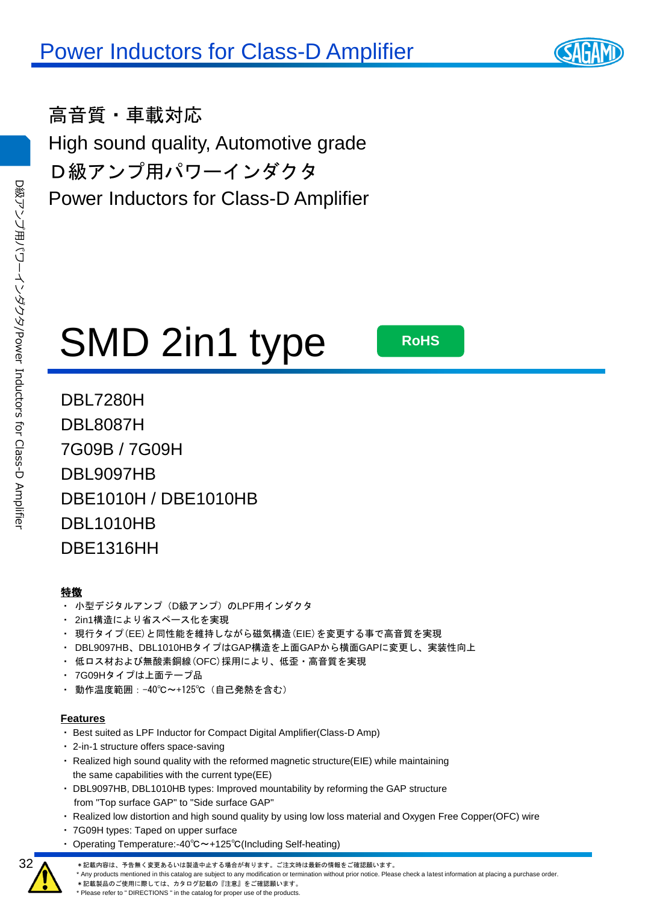高音質・車載対応 High sound quality, Automotive grade D級アンプ用パワーインダクタ Power Inductors for Class-D Amplifier

# SMD 2in1 type **RoHS**

DBL7280H DBL8087H 7G09B / 7G09H DBL9097HB DBE1010H / DBE1010HB DBL1010HB DBE1316HH

#### 特徴

D

級アンプ用パワーインダクタ

/Power

Inductors

ਕ੍ਰ

Class-D

Amplifier

- ・ 小型デジタルアンプ(D級アンプ)のLPF用インダクタ
- ・ 2in1構造により省スペース化を実現
- ・ 現行タイプ(EE)と同性能を維持しながら磁気構造(EIE)を変更する事で高音質を実現
- ・ DBL9097HB、DBL1010HBタイプはGAP構造を上面GAPから横面GAPに変更し、実装性向上
- ・ 低ロス材および無酸素銅線(OFC)採用により、低歪・高音質を実現
- ・ 7G09Hタイプは上面テープ品
- ・ 動作温度範囲:-40℃~+125℃(自己発熱を含む)

#### **Features**

- ・ Best suited as LPF Inductor for Compact Digital Amplifier(Class-D Amp)
- ・ 2-in-1 structure offers space-saving
- ・ Realized high sound quality with the reformed magnetic structure(EIE) while maintaining the same capabilities with the current type(EE)
- ・ DBL9097HB, DBL1010HB types: Improved mountability by reforming the GAP structure from "Top surface GAP" to "Side surface GAP"
- ・ Realized low distortion and high sound quality by using low loss material and Oxygen Free Copper(OFC) wire
- ・ 7G09H types: Taped on upper surface
- ・ Operating Temperature:-40℃~+125℃(Including Self-heating)
	- \*記載内容は、予告無く変更あるいは製造中止する場合が有ります。ご注文時は最新の情報をご確認願います。
- \* Any products mentioned in this catalog are subject to any modification or termination without prior notice. Please check a latest information at placing a purchase order.
- \*記載製品のご使用に際しては、カタログ記載の『注意』をご確認願います。 \* Please refer to " DIRECTIONS " in the catalog for proper use of the products.

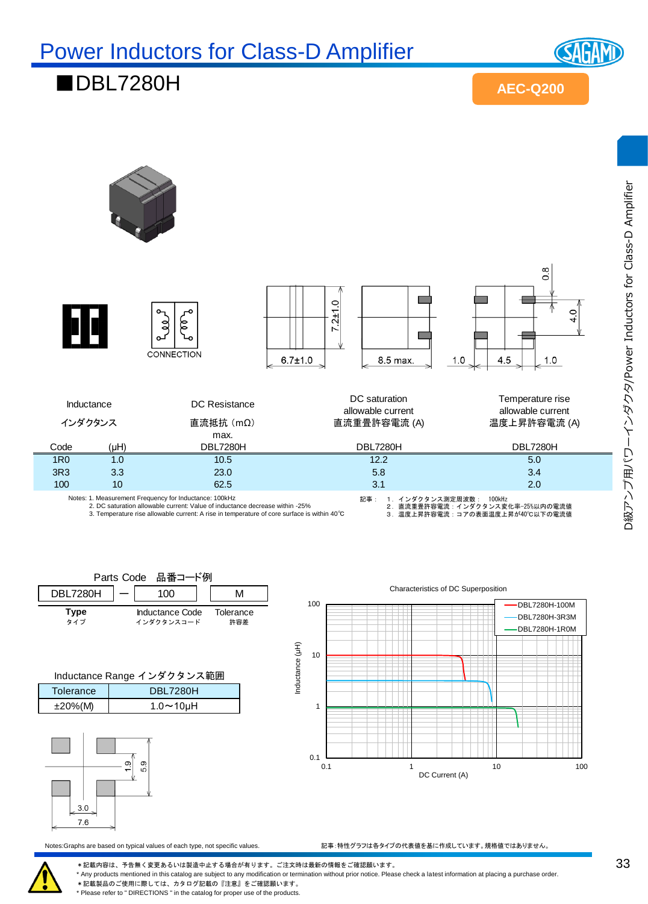**(SAGAM** 

#### ■DBL7280H

**AEC-Q200**



| Parts Code 品番コード例 |                               |                  |
|-------------------|-------------------------------|------------------|
| <b>DBL7280H</b>   |                               |                  |
| Type<br>タイプ       | Inductance Code<br>インダクタンスコード | Tolerance<br>許容差 |

| Inductance Range インダクタンス範囲   |  |  |  |  |
|------------------------------|--|--|--|--|
| <b>DBL7280H</b><br>Tolerance |  |  |  |  |

| Tolerance   | DDLIZOUH            |
|-------------|---------------------|
| $±20\%$ (M) | $1.0 \sim 10 \mu H$ |
|             |                     |
|             |                     |



1 10 Inductance (μH) DBL7280H-3R3M DBL7280H-1R0M

Characteristics of DC Superposition

DBL7280H-100M

Notes:Graphs are based on typical values of each type, not specific values. 記事:特性グラフは各タイプの代表値を基に作成しています。規格値ではありません。

0.1 1 10 100

DC Current (A)

\*記載内容は、予告無く変更あるいは製造中止する場合が有ります。ご注文時は最新の情報をご確認願います。

0.1 **L**<br>0.1

100

\* Any products mentioned in this catalog are subject to any modification or termination without prior notice. Please check a latest information at placing a purchase order.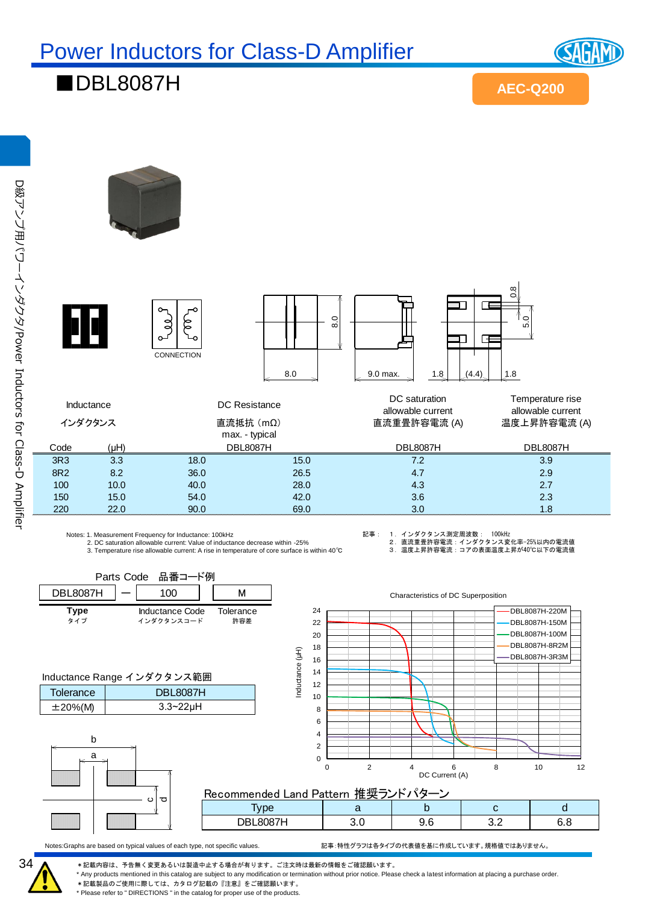■DBL8087H



**SAGAM** 

D級アンプ用パワーインダクタ/Power Inductors ਕ੍ਰ Class-D Amplifier



Parts Code 品番コード例

Notes: 1. Measurement Frequency for Inductance: 100kHz 2. DC saturation allowable current: Value of inductance decrease within -25%

3. Temperature rise allowable current: A rise in temperature of core surface is within 40℃

記事: 1.インダクタンス測定周波数: 100kHz

Characteristics of DC Superposition

2.直流重畳許容電流:インダクタンス変化率−25%以内の電流値<br>3.温度上昇許容電流:コアの表面温度上昇が40℃以下の電流値

DBL8087H-220M







#### Recommended Land Pattern 推奨ランドパターン

| ັ |                  |     |     |            |
|---|------------------|-----|-----|------------|
|   | $\sim$ $-$<br>NR | . . | ◡.∠ | . .<br>ں ، |

Notes:Graphs are based on typical values of each type, not specific values. 記事:特性グラフは各タイプの代表値を基に作成しています。規格値ではありません。



\*記載内容は、予告無く変更あるいは製造中止する場合が有ります。ご注文時は最新の情報をご確認願います。 \* Any products mentioned in this catalog are subject to any modification or termination without prior notice. Please check a latest information at placing a purchase order.

\*記載製品のご使用に際しては、カタログ記載の『注意』をご確認願います。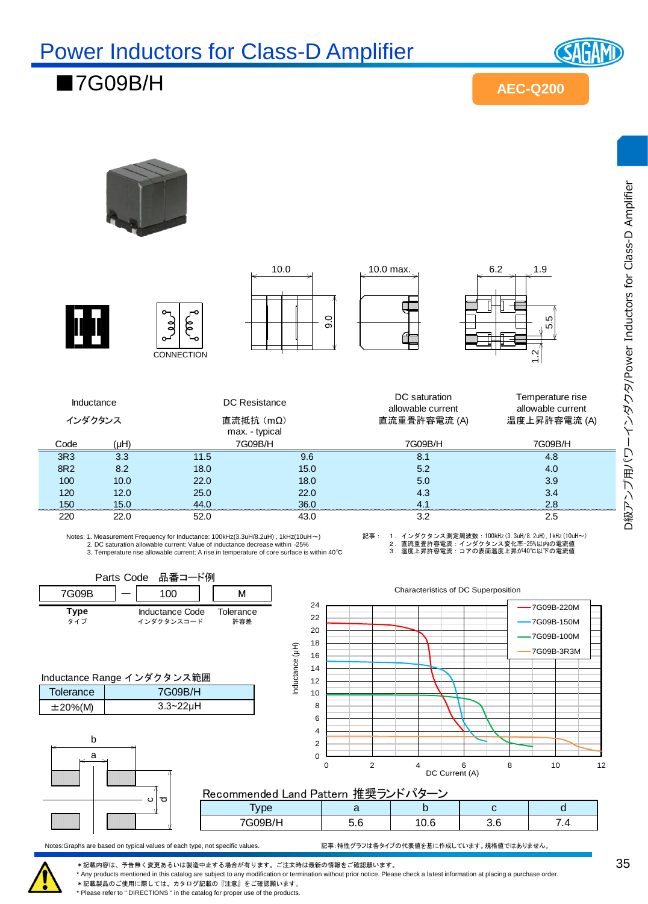■7G09B/H



**AEC-Q200**



2. DC saturation allowable current: Value of inductance decrease within -25% 3. Temperature rise allowable current: A rise in temperature of core surface is within 40℃

記事: 1.インダクタンス測定周波数:100kHz(3.3uH/8.2uH),1kHz(10uH~)<br>2.直流重量書許容電流:インダクタンス変化率-25%以内の電流値<br>3.温度上昇許容電流:コアの表面温度上昇が40℃以下の電流値



Notes:Graphs are based on typical values of each type, not specific values. 記事:特性グラフは各タイプの代表値を基に作成しています。規格値ではありません。

\*記載内容は、予告無く変更あるいは製造中止する場合が有ります。ご注文時は最新の情報をご確認願います。 \* Any products mentioned in this catalog are subject to any modification or termination without prior notice. Please check a latest information at placing a purchase order.

\*記載製品のご使用に際しては、カタログ記載の『注意』をご確認願います。

\* Please refer to " DIRECTIONS " in the catalog for proper use of the products.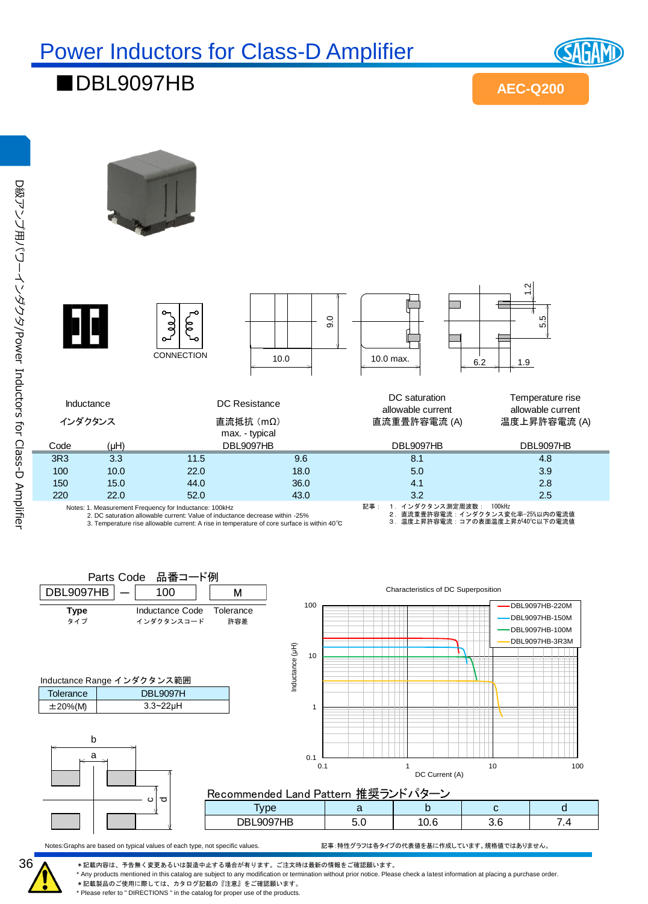■DBL9097HB

**AEC-Q200**

**SAGAM** 





| ັ<br>ALC: | $\sim$                     |     |       |     |  |  |  |  |
|-----------|----------------------------|-----|-------|-----|--|--|--|--|
|           | 9097HB<br>DBL <sub>9</sub> | J.V | . v.v | v.v |  |  |  |  |
|           |                            |     |       |     |  |  |  |  |

Notes:Graphs are based on typical values of each type, not specific values. 記事:特性グラフは各タイプの代表値を基に作成しています。規格値ではありません。

DC Current (A)

36

\*記載内容は、予告無く変更あるいは製造中止する場合が有ります。ご注文時は最新の情報をご確認願います。 \* Any products mentioned in this catalog are subject to any modification or termination without prior notice. Please check a latest information at placing a purchase order.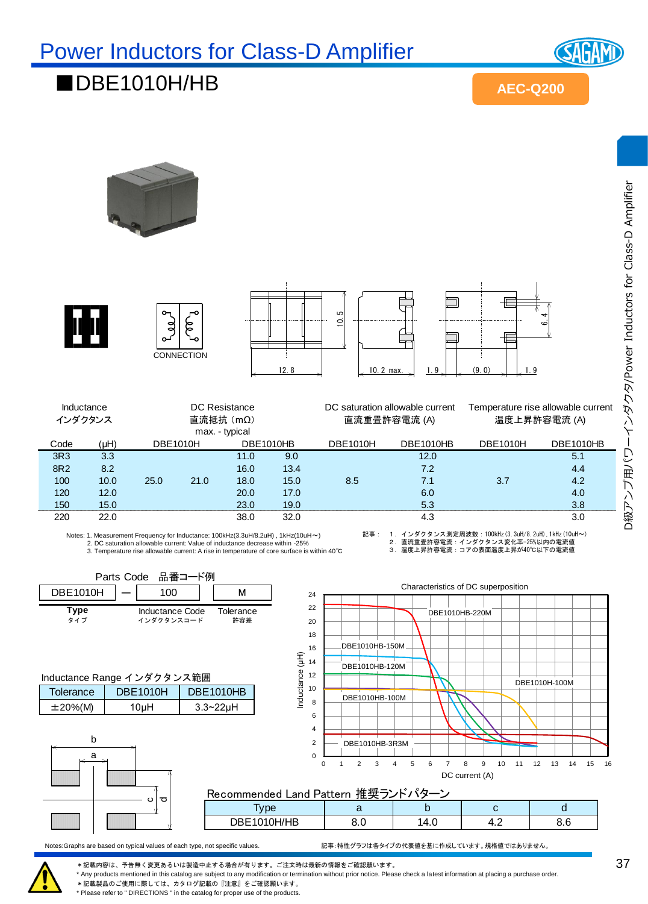

D級アンプ用パワーインダクタ/Power Inductors for Class-D Amplifier

D級アンプ用パワーインダクタ/Power Inductors for Class-D Amplifier

#### ■DBE1010H/HB

**AEC-Q200**











|            |      |                 | <b>CONNECTION</b> |                  | 12.8 | $\sim$ 10.2 max. | 1.9.                            | (9.0)<br>I. 9 |                                    |
|------------|------|-----------------|-------------------|------------------|------|------------------|---------------------------------|---------------|------------------------------------|
|            |      |                 |                   |                  |      |                  |                                 |               |                                    |
| Inductance |      |                 | DC Resistance     |                  |      |                  | DC saturation allowable current |               | Temperature rise allowable current |
| インダクタンス    |      |                 | 直流抵抗 (mΩ)         |                  |      |                  | 直流重畳許容電流 (A)                    |               | 温度上昇許容電流 (A)                       |
|            |      |                 | max. - typical    |                  |      |                  |                                 |               |                                    |
| Code       | (HH) | <b>DBE1010H</b> |                   | <b>DBE1010HB</b> |      | <b>DBE1010H</b>  | <b>DBE1010HB</b>                | DBE1010H      | <b>DBE1010HB</b>                   |
| 3R3        | 3.3  |                 |                   | 11.0             | 9.0  |                  | 12.0                            |               | 5.1                                |
| 8R2        | 8.2  |                 |                   | 16.0             | 13.4 |                  | 7.2                             |               | 4.4                                |
| 100        | 10.0 | 25.0            | 21.0              | 18.0             | 15.0 | 8.5              | 7.1                             | 3.7           | 4.2                                |
| 120        | 12.0 |                 |                   | 20.0             | 17.0 |                  | 6.0                             |               | 4.0                                |
| 150        | 15.0 |                 |                   | 23.0             | 19.0 |                  | 5.3                             |               | 3.8                                |
|            |      |                 |                   |                  |      |                  |                                 |               |                                    |

Notes: 1. Measurement Frequency for Inductance: 100kHz(3.3uH/8.2uH) , 1kHz(10uH~)

2. DC saturation allowable current: Value of inductance decrease within -25% 3. Temperature rise allowable current: A rise in temperature of core surface is within 40℃ 記事 : 1.インダクタンス測定周波数 :100kHz(3.3uH/8.2uH),1kHz(10uH~)<br>2. 直流重量許容電流 :インダクタンス変化率-25%以内の電流値<br>3. 温度上昇許容電流 : コアの表面温度上昇が40℃以下の電流値



Notes:Graphs are based on typical values of each type, not specific values. 記事:特性グラフは各タイプの代表値を基に作成しています。規格値ではありません。



\*記載内容は、予告無く変更あるいは製造中止する場合が有ります。ご注文時は最新の情報をご確認願います。

\* Any products mentioned in this catalog are subject to any modification or termination without prior notice. Please check a latest information at placing a purchase order.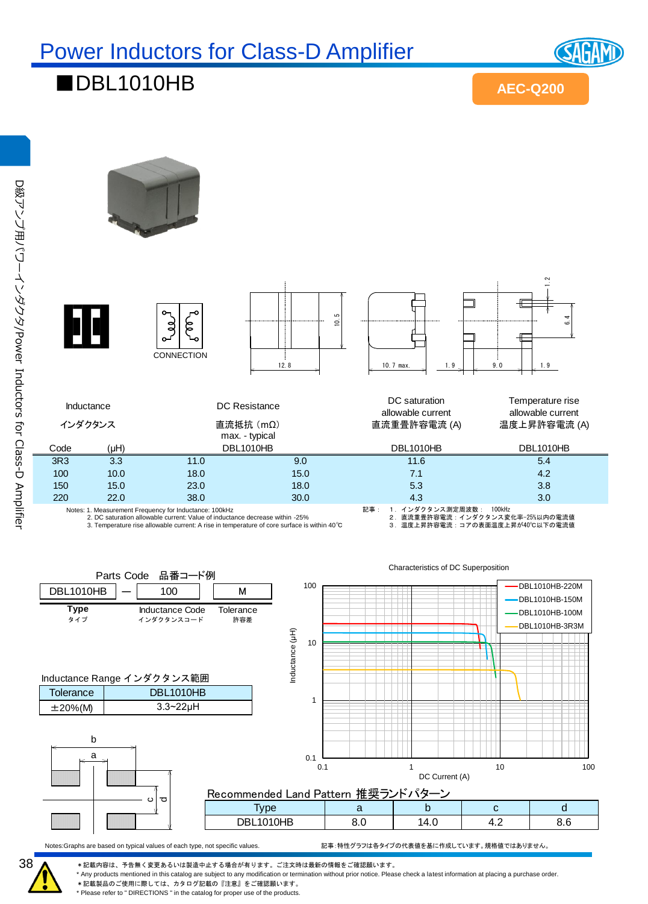

#### ■DBL1010HB

**AEC-Q200**

 $\frac{2}{2}$  $\frac{1}{2}$ <br>12.8  $\frac{1}{2}$  10.7 max.  $\frac{1}{2}$  1.9  $\frac{4}{9}$  $\overline{0}$ g **CONNECTION** インダクタンス 直流抵抗 (m Ω) 10.7 max.  $1.9$   $1.9$   $9.0$   $1.9$ DC saturation Temperature rise Inductance DC Resistance allowable current allowable current 直流重畳許容電流 (A) 温度上昇許容電流 (A) max. - typical DBL1010HB Code (μH) DBL1010HB DBL1010HB 3R3 3.3 11.0 9.0 11.6 5.4 100 10.0 18.0 15.0 7.1 2.2 150 15.0 23.0 18.0 5.3 5.3 3.8 220 22.0 38.0 30.0 4.3 4.3 3.0 Notes: 1. Measurement Frequency for Inductance: 100kHz 記事 : 1.インダクタンス測定周波数 : 100kHz<br>2. 直流重畳許容電流 :インダクタンス変<br>3. 温度上昇許容電流 : コアの表面温度上 2. DC saturation allowable current: Value of inductance decrease within -25% 2.直流重畳許容電流:インダクタンス変化率−25%以内の電流値<br>3.温度上昇許容電流:コアの表面温度上昇が40℃以下の電流値 3. Temperature rise allowable current: A rise in temperature of core surface is within 40℃

Recommended Land Pattern 推奨ランドパタ Type | a | b | c | d DBL1010HB 8.0 14.0 4.2 8.6 Inductance Range インダクタンス範囲 **Tolerance**  $\pm 20\%$ (M) 3.3~22µH DBL1010HB b a cd $DBL1010HB$   $-$  100  $\vert$   $\vert$  M **Type Manductance Code Tolerance**<br>タイプ インダクタンスコード 許容差 インダクタンスコード Parts Code 品番コード例 0.1  $\Gamma$ <br>0.1 1 10 100 0.1 1 10 100 Inductance (μH) DC Current (A) Characteristics of DC Superposition DBL1010HB-220M DBL1010HB-150M DBL1010HB-100M DBL1010HB-3R3M

Notes:Graphs are based on typical values of each type, not specific values. 記事:特性グラフは各タイプの代表値を基に作成しています。規格値ではありません。

\*記載内容は、予告無く変更あるいは製造中止する場合が有ります。ご注文時は最新の情報をご確認願います。

\* Any products mentioned in this catalog are subject to any modification or termination without prior notice. Please check a latest information at placing a purchase order.

\*記載製品のご使用に際しては、カタログ記載の『注意』をご確認願います。 \* Please refer to " DIRECTIONS " in the catalog for proper use of the products.

38